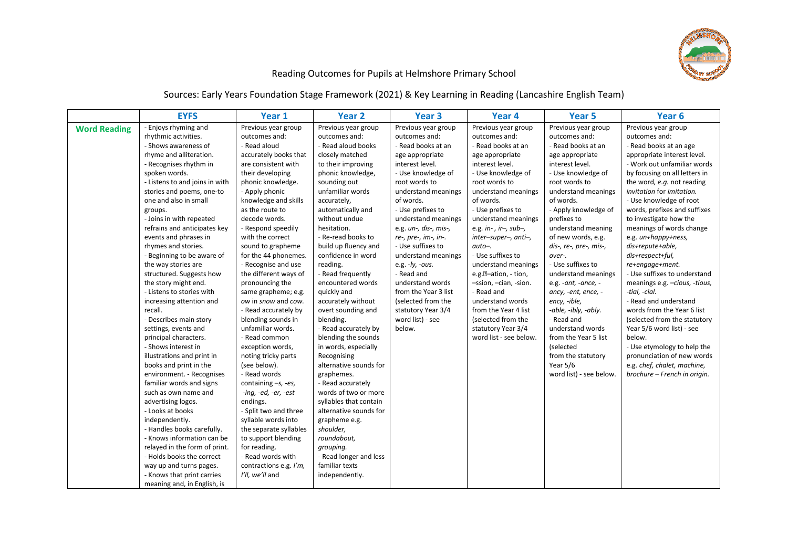

## Reading Outcomes for Pupils at Helmshore Primary School

Sources: Early Years Foundation Stage Framework (2021) & Key Learning in Reading (Lancashire English Team)

|                     | <b>EYFS</b>                                                                                                                                                                                                                                                                                                                                                                                                                                                                                                                                                                                                                                                                                                                                                                                                                                                                                                                                                                                                                                                     | Year 1                                                                                                                                                                                                                                                                                                                                                                                                                                                                                                                                                                                                                                                                                                                                                                                                                                                          | Year 2                                                                                                                                                                                                                                                                                                                                                                                                                                                                                                                                                                                                                                                                                                                                                                                    | Year <sub>3</sub>                                                                                                                                                                                                                                                                                                                                                                                                                                                                 | Year <sub>4</sub>                                                                                                                                                                                                                                                                                                                                                                                                                                                                                                                | Year 5                                                                                                                                                                                                                                                                                                                                                                                                                                                                                                                                                                   | Year <sub>6</sub>                                                                                                                                                                                                                                                                                                                                                                                                                                                                                                                                                                                                                                                                                                                                                       |
|---------------------|-----------------------------------------------------------------------------------------------------------------------------------------------------------------------------------------------------------------------------------------------------------------------------------------------------------------------------------------------------------------------------------------------------------------------------------------------------------------------------------------------------------------------------------------------------------------------------------------------------------------------------------------------------------------------------------------------------------------------------------------------------------------------------------------------------------------------------------------------------------------------------------------------------------------------------------------------------------------------------------------------------------------------------------------------------------------|-----------------------------------------------------------------------------------------------------------------------------------------------------------------------------------------------------------------------------------------------------------------------------------------------------------------------------------------------------------------------------------------------------------------------------------------------------------------------------------------------------------------------------------------------------------------------------------------------------------------------------------------------------------------------------------------------------------------------------------------------------------------------------------------------------------------------------------------------------------------|-------------------------------------------------------------------------------------------------------------------------------------------------------------------------------------------------------------------------------------------------------------------------------------------------------------------------------------------------------------------------------------------------------------------------------------------------------------------------------------------------------------------------------------------------------------------------------------------------------------------------------------------------------------------------------------------------------------------------------------------------------------------------------------------|-----------------------------------------------------------------------------------------------------------------------------------------------------------------------------------------------------------------------------------------------------------------------------------------------------------------------------------------------------------------------------------------------------------------------------------------------------------------------------------|----------------------------------------------------------------------------------------------------------------------------------------------------------------------------------------------------------------------------------------------------------------------------------------------------------------------------------------------------------------------------------------------------------------------------------------------------------------------------------------------------------------------------------|--------------------------------------------------------------------------------------------------------------------------------------------------------------------------------------------------------------------------------------------------------------------------------------------------------------------------------------------------------------------------------------------------------------------------------------------------------------------------------------------------------------------------------------------------------------------------|-------------------------------------------------------------------------------------------------------------------------------------------------------------------------------------------------------------------------------------------------------------------------------------------------------------------------------------------------------------------------------------------------------------------------------------------------------------------------------------------------------------------------------------------------------------------------------------------------------------------------------------------------------------------------------------------------------------------------------------------------------------------------|
| <b>Word Reading</b> | - Enjoys rhyming and<br>rhythmic activities.<br>- Shows awareness of<br>rhyme and alliteration.<br>- Recognises rhythm in<br>spoken words.<br>- Listens to and joins in with<br>stories and poems, one-to<br>one and also in small<br>groups.<br>- Joins in with repeated<br>refrains and anticipates key<br>events and phrases in<br>rhymes and stories.<br>- Beginning to be aware of<br>the way stories are<br>structured. Suggests how<br>the story might end.<br>- Listens to stories with<br>increasing attention and<br>recall.<br>- Describes main story<br>settings, events and<br>principal characters.<br>- Shows interest in<br>illustrations and print in<br>books and print in the<br>environment. - Recognises<br>familiar words and signs<br>such as own name and<br>advertising logos.<br>- Looks at books<br>independently.<br>- Handles books carefully.<br>- Knows information can be<br>relayed in the form of print.<br>- Holds books the correct<br>way up and turns pages.<br>- Knows that print carries<br>meaning and, in English, is | Previous year group<br>outcomes and:<br>- Read aloud<br>accurately books that<br>are consistent with<br>their developing<br>phonic knowledge.<br>- Apply phonic<br>knowledge and skills<br>as the route to<br>decode words.<br>- Respond speedily<br>with the correct<br>sound to grapheme<br>for the 44 phonemes.<br>- Recognise and use<br>the different ways of<br>pronouncing the<br>same grapheme; e.g.<br>ow in snow and cow.<br>- Read accurately by<br>blending sounds in<br>unfamiliar words.<br>- Read common<br>exception words,<br>noting tricky parts<br>(see below).<br>- Read words<br>containing $-s$ , -es,<br>$-$ ing, $-e$ d, $-e$ r, $-e$ st<br>endings.<br>- Split two and three<br>syllable words into<br>the separate syllables<br>to support blending<br>for reading.<br>- Read words with<br>contractions e.g. I'm,<br>I'll, we'll and | Previous year group<br>outcomes and:<br>- Read aloud books<br>closely matched<br>to their improving<br>phonic knowledge,<br>sounding out<br>unfamiliar words<br>accurately,<br>automatically and<br>without undue<br>hesitation.<br>- Re-read books to<br>build up fluency and<br>confidence in word<br>reading.<br>- Read frequently<br>encountered words<br>quickly and<br>accurately without<br>overt sounding and<br>blending.<br>- Read accurately by<br>blending the sounds<br>in words, especially<br>Recognising<br>alternative sounds for<br>graphemes.<br>- Read accurately<br>words of two or more<br>syllables that contain<br>alternative sounds for<br>grapheme e.g.<br>shoulder,<br>roundabout,<br>grouping.<br>- Read longer and less<br>familiar texts<br>independently. | Previous year group<br>outcomes and:<br>- Read books at an<br>age appropriate<br>interest level.<br>- Use knowledge of<br>root words to<br>understand meanings<br>of words.<br>- Use prefixes to<br>understand meanings<br>e.g. un-, dis-, mis-,<br>re-, pre-, im-, in-.<br>- Use suffixes to<br>understand meanings<br>e.g. $-ly$ , $-ous$ .<br>- Read and<br>understand words<br>from the Year 3 list<br>(selected from the<br>statutory Year 3/4<br>word list) - see<br>below. | Previous year group<br>outcomes and:<br>- Read books at an<br>age appropriate<br>interest level.<br>- Use knowledge of<br>root words to<br>understand meanings<br>of words.<br>- Use prefixes to<br>understand meanings<br>e.g. in-, ir-, $sub-$ ,<br>inter-super-, anti-,<br>$auto-.$<br>- Use suffixes to<br>understand meanings<br>e.g. <sup>2</sup> -ation, - tion,<br>-ssion, -cian, -sion.<br>- Read and<br>understand words<br>from the Year 4 list<br>(selected from the<br>statutory Year 3/4<br>word list - see below. | Previous year group<br>outcomes and:<br>- Read books at an<br>age appropriate<br>interest level.<br>- Use knowledge of<br>root words to<br>understand meanings<br>of words.<br>- Apply knowledge of<br>prefixes to<br>understand meaning<br>of new words, e.g.<br>dis-, re-, pre-, mis-,<br>over-.<br>- Use suffixes to<br>understand meanings<br>e.g. -ant, -ance, -<br>ancy, -ent, ence, -<br>ency, -ible,<br>-able, -ibly, -ably.<br>- Read and<br>understand words<br>from the Year 5 list<br>(selected<br>from the statutory<br>Year 5/6<br>word list) - see below. | Previous year group<br>outcomes and:<br>- Read books at an age<br>appropriate interest level.<br>- Work out unfamiliar words<br>by focusing on all letters in<br>the word, e.g. not reading<br>invitation for imitation.<br>- Use knowledge of root<br>words, prefixes and suffixes<br>to investigate how the<br>meanings of words change<br>e.g. un+happy+ness,<br>dis+repute+able,<br>dis+respect+ful,<br>re+engage+ment.<br>- Use suffixes to understand<br>meanings e.g. -cious, -tious,<br>-tial, -cial.<br>- Read and understand<br>words from the Year 6 list<br>(selected from the statutory<br>Year 5/6 word list) - see<br>below.<br>- Use etymology to help the<br>pronunciation of new words<br>e.g. chef, chalet, machine,<br>brochure - French in origin. |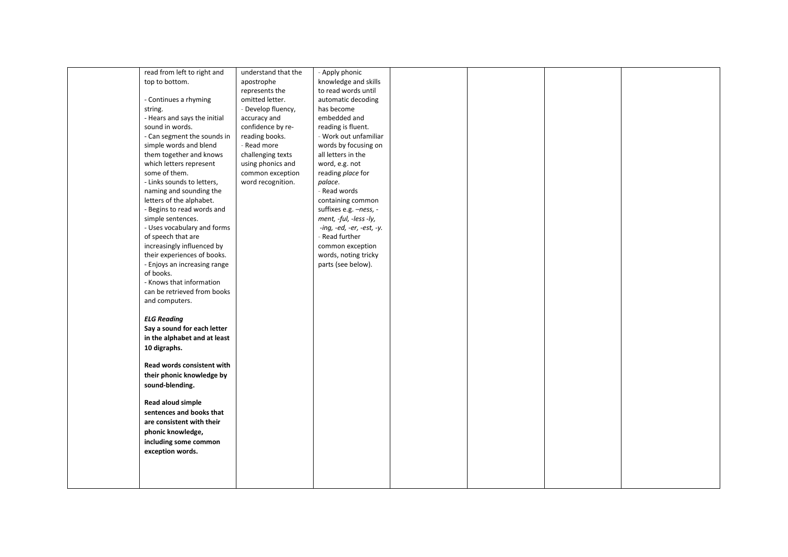|  | read from left to right and  | understand that the | - Apply phonic            |  |  |
|--|------------------------------|---------------------|---------------------------|--|--|
|  | top to bottom.               | apostrophe          | knowledge and skills      |  |  |
|  |                              | represents the      | to read words until       |  |  |
|  | - Continues a rhyming        | omitted letter.     | automatic decoding        |  |  |
|  | string.                      | - Develop fluency,  | has become                |  |  |
|  | - Hears and says the initial | accuracy and        | embedded and              |  |  |
|  | sound in words.              | confidence by re-   | reading is fluent.        |  |  |
|  | - Can segment the sounds in  | reading books.      | - Work out unfamiliar     |  |  |
|  | simple words and blend       | - Read more         | words by focusing on      |  |  |
|  | them together and knows      | challenging texts   | all letters in the        |  |  |
|  | which letters represent      | using phonics and   | word, e.g. not            |  |  |
|  | some of them.                | common exception    | reading place for         |  |  |
|  | - Links sounds to letters,   | word recognition.   | palace.                   |  |  |
|  | naming and sounding the      |                     | - Read words              |  |  |
|  | letters of the alphabet.     |                     | containing common         |  |  |
|  | - Begins to read words and   |                     | suffixes e.g. -ness, -    |  |  |
|  | simple sentences.            |                     | ment, -ful, -less -ly,    |  |  |
|  | - Uses vocabulary and forms  |                     | -ing, -ed, -er, -est, -y. |  |  |
|  | of speech that are           |                     | - Read further            |  |  |
|  | increasingly influenced by   |                     | common exception          |  |  |
|  | their experiences of books.  |                     | words, noting tricky      |  |  |
|  | - Enjoys an increasing range |                     | parts (see below).        |  |  |
|  | of books.                    |                     |                           |  |  |
|  | - Knows that information     |                     |                           |  |  |
|  | can be retrieved from books  |                     |                           |  |  |
|  | and computers.               |                     |                           |  |  |
|  |                              |                     |                           |  |  |
|  | <b>ELG Reading</b>           |                     |                           |  |  |
|  |                              |                     |                           |  |  |
|  | Say a sound for each letter  |                     |                           |  |  |
|  | in the alphabet and at least |                     |                           |  |  |
|  | 10 digraphs.                 |                     |                           |  |  |
|  |                              |                     |                           |  |  |
|  | Read words consistent with   |                     |                           |  |  |
|  | their phonic knowledge by    |                     |                           |  |  |
|  | sound-blending.              |                     |                           |  |  |
|  |                              |                     |                           |  |  |
|  | Read aloud simple            |                     |                           |  |  |
|  | sentences and books that     |                     |                           |  |  |
|  | are consistent with their    |                     |                           |  |  |
|  | phonic knowledge,            |                     |                           |  |  |
|  | including some common        |                     |                           |  |  |
|  | exception words.             |                     |                           |  |  |
|  |                              |                     |                           |  |  |
|  |                              |                     |                           |  |  |
|  |                              |                     |                           |  |  |
|  |                              |                     |                           |  |  |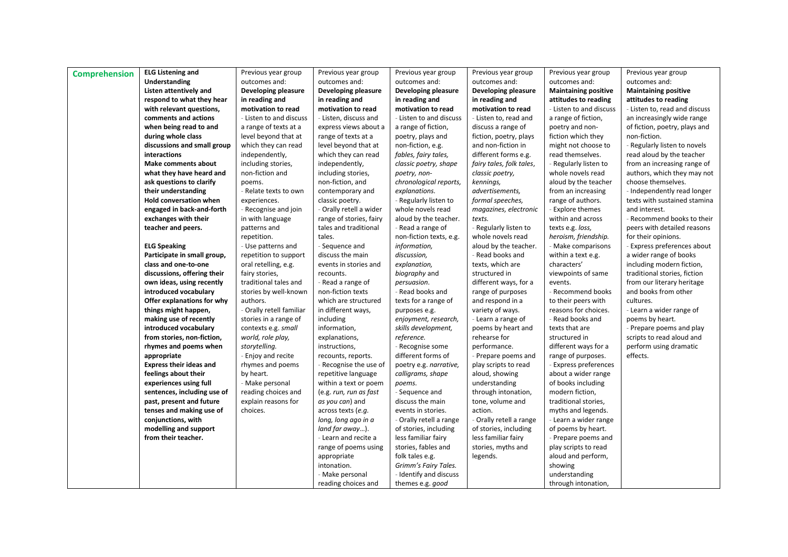| <b>Comprehension</b> | <b>ELG Listening and</b>       | Previous year group      | Previous year group     | Previous year group     | Previous year group      | Previous year group         | Previous year group           |
|----------------------|--------------------------------|--------------------------|-------------------------|-------------------------|--------------------------|-----------------------------|-------------------------------|
|                      | Understanding                  | outcomes and:            | outcomes and:           | outcomes and:           | outcomes and:            | outcomes and:               | outcomes and:                 |
|                      | Listen attentively and         | Developing pleasure      | Developing pleasure     | Developing pleasure     | Developing pleasure      | <b>Maintaining positive</b> | <b>Maintaining positive</b>   |
|                      | respond to what they hear      | in reading and           | in reading and          | in reading and          | in reading and           | attitudes to reading        | attitudes to reading          |
|                      | with relevant questions,       | motivation to read       | motivation to read      | motivation to read      | motivation to read       | - Listen to and discuss     | - Listen to, read and discuss |
|                      | comments and actions           | - Listen to and discuss  | - Listen, discuss and   | - Listen to and discuss | - Listen to, read and    | a range of fiction,         | an increasingly wide range    |
|                      | when being read to and         | a range of texts at a    | express views about a   | a range of fiction,     | discuss a range of       | poetry and non-             | of fiction, poetry, plays and |
|                      | during whole class             | level beyond that at     | range of texts at a     | poetry, plays and       | fiction, poetry, plays   | fiction which they          | non-fiction.                  |
|                      | discussions and small group    | which they can read      | level beyond that at    | non-fiction, e.g.       | and non-fiction in       | might not choose to         | Regularly listen to novels    |
|                      | interactions                   | independently,           | which they can read     | fables, fairy tales,    | different forms e.g.     | read themselves.            | read aloud by the teacher     |
|                      | <b>Make comments about</b>     | including stories,       | independently,          | classic poetry, shape   | fairy tales, folk tales, | - Regularly listen to       | from an increasing range of   |
|                      | what they have heard and       | non-fiction and          | including stories,      | poetry, non-            | classic poetry,          | whole novels read           | authors, which they may not   |
|                      | ask questions to clarify       | poems.                   | non-fiction, and        | chronological reports,  | kennings,                | aloud by the teacher        | choose themselves.            |
|                      | their understanding            | - Relate texts to own    | contemporary and        | explanations.           | advertisements,          | from an increasing          | - Independently read longer   |
|                      | Hold conversation when         | experiences.             | classic poetry.         | - Regularly listen to   | formal speeches,         | range of authors.           | texts with sustained stamina  |
|                      | engaged in back-and-forth      | - Recognise and join     | - Orally retell a wider | whole novels read       | magazines, electronic    | - Explore themes            | and interest.                 |
|                      | exchanges with their           | in with language         | range of stories, fairy | aloud by the teacher.   | texts.                   | within and across           | Recommend books to their      |
|                      | teacher and peers.             | patterns and             | tales and traditional   | - Read a range of       | Regularly listen to      | texts e.g. loss,            | peers with detailed reasons   |
|                      |                                | repetition.              | tales.                  | non-fiction texts, e.g. | whole novels read        | heroism, friendship.        | for their opinions.           |
|                      | <b>ELG Speaking</b>            | - Use patterns and       | - Sequence and          | information,            | aloud by the teacher.    | - Make comparisons          | Express preferences about     |
|                      | Participate in small group,    | repetition to support    | discuss the main        | discussion,             | - Read books and         | within a text e.g.          | a wider range of books        |
|                      | class and one-to-one           | oral retelling, e.g.     | events in stories and   | explanation,            | texts, which are         | characters'                 | including modern fiction,     |
|                      | discussions, offering their    | fairy stories,           | recounts.               | biography and           | structured in            | viewpoints of same          | traditional stories, fiction  |
|                      | own ideas, using recently      | traditional tales and    | - Read a range of       | persuasion.             | different ways, for a    | events.                     | from our literary heritage    |
|                      | introduced vocabulary          | stories by well-known    | non-fiction texts       | - Read books and        | range of purposes        | - Recommend books           | and books from other          |
|                      | Offer explanations for why     | authors.                 | which are structured    | texts for a range of    | and respond in a         | to their peers with         | cultures.                     |
|                      | things might happen,           | - Orally retell familiar | in different ways,      | purposes e.g.           | variety of ways.         | reasons for choices.        | - Learn a wider range of      |
|                      | making use of recently         | stories in a range of    | including               | enjoyment, research,    | - Learn a range of       | - Read books and            | poems by heart.               |
|                      | introduced vocabulary          | contexts e.g. small      | information,            | skills development,     | poems by heart and       | texts that are              | - Prepare poems and play      |
|                      | from stories, non-fiction,     | world, role play,        | explanations,           | reference.              | rehearse for             | structured in               | scripts to read aloud and     |
|                      | rhymes and poems when          | storytelling.            | instructions,           | - Recognise some        | performance.             | different ways for a        | perform using dramatic        |
|                      | appropriate                    | - Enjoy and recite       | recounts, reports.      | different forms of      | - Prepare poems and      | range of purposes.          | effects.                      |
|                      | <b>Express their ideas and</b> | rhymes and poems         | - Recognise the use of  | poetry e.g. narrative,  | play scripts to read     | - Express preferences       |                               |
|                      | feelings about their           | by heart.                | repetitive language     | calligrams, shape       | aloud, showing           | about a wider range         |                               |
|                      | experiences using full         | - Make personal          | within a text or poem   | poems.                  | understanding            | of books including          |                               |
|                      | sentences, including use of    | reading choices and      | (e.g. run, run as fast  | - Sequence and          | through intonation,      | modern fiction,             |                               |
|                      | past, present and future       | explain reasons for      | as you can) and         | discuss the main        | tone, volume and         | traditional stories,        |                               |
|                      | tenses and making use of       | choices.                 | across texts (e.g.      | events in stories.      | action.                  | myths and legends.          |                               |
|                      | conjunctions, with             |                          | long, long ago in a     | - Orally retell a range | - Orally retell a range  | - Learn a wider range       |                               |
|                      | modelling and support          |                          | land far away).         | of stories, including   | of stories, including    | of poems by heart.          |                               |
|                      | from their teacher.            |                          | - Learn and recite a    | less familiar fairy     | less familiar fairy      | - Prepare poems and         |                               |
|                      |                                |                          | range of poems using    | stories, fables and     | stories, myths and       | play scripts to read        |                               |
|                      |                                |                          | appropriate             | folk tales e.g.         | legends.                 | aloud and perform,          |                               |
|                      |                                |                          | intonation.             | Grimm's Fairy Tales.    |                          | showing                     |                               |
|                      |                                |                          | - Make personal         | - Identify and discuss  |                          | understanding               |                               |
|                      |                                |                          |                         |                         |                          | through intonation,         |                               |
|                      |                                |                          | reading choices and     | themes e.g. good        |                          |                             |                               |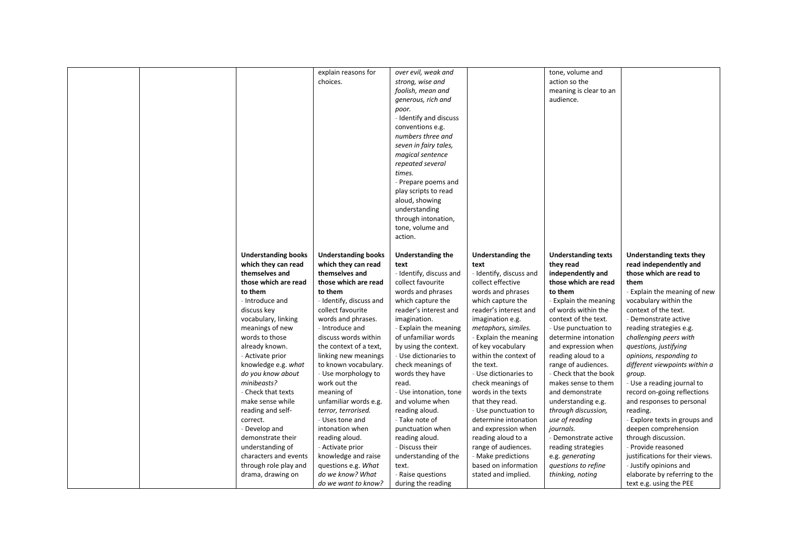|  |                            | explain reasons for        | over evil, weak and      |                          | tone, volume and           |                                 |
|--|----------------------------|----------------------------|--------------------------|--------------------------|----------------------------|---------------------------------|
|  |                            | choices.                   | strong, wise and         |                          | action so the              |                                 |
|  |                            |                            | foolish, mean and        |                          | meaning is clear to an     |                                 |
|  |                            |                            | generous, rich and       |                          | audience.                  |                                 |
|  |                            |                            | poor.                    |                          |                            |                                 |
|  |                            |                            | - Identify and discuss   |                          |                            |                                 |
|  |                            |                            | conventions e.g.         |                          |                            |                                 |
|  |                            |                            | numbers three and        |                          |                            |                                 |
|  |                            |                            | seven in fairy tales,    |                          |                            |                                 |
|  |                            |                            | magical sentence         |                          |                            |                                 |
|  |                            |                            | repeated several         |                          |                            |                                 |
|  |                            |                            | times.                   |                          |                            |                                 |
|  |                            |                            | - Prepare poems and      |                          |                            |                                 |
|  |                            |                            | play scripts to read     |                          |                            |                                 |
|  |                            |                            | aloud, showing           |                          |                            |                                 |
|  |                            |                            | understanding            |                          |                            |                                 |
|  |                            |                            | through intonation,      |                          |                            |                                 |
|  |                            |                            | tone, volume and         |                          |                            |                                 |
|  |                            |                            | action.                  |                          |                            |                                 |
|  |                            |                            |                          |                          |                            |                                 |
|  | <b>Understanding books</b> | <b>Understanding books</b> | <b>Understanding the</b> | <b>Understanding the</b> | <b>Understanding texts</b> | <b>Understanding texts they</b> |
|  | which they can read        | which they can read        | text                     | text                     | they read                  | read independently and          |
|  | themselves and             | themselves and             | - Identify, discuss and  | - Identify, discuss and  | independently and          | those which are read to         |
|  | those which are read       | those which are read       | collect favourite        | collect effective        | those which are read       | them                            |
|  | to them                    | to them                    | words and phrases        | words and phrases        | to them                    | - Explain the meaning of new    |
|  | - Introduce and            | - Identify, discuss and    | which capture the        | which capture the        | - Explain the meaning      | vocabulary within the           |
|  | discuss key                | collect favourite          | reader's interest and    | reader's interest and    | of words within the        | context of the text.            |
|  | vocabulary, linking        | words and phrases.         | imagination.             | imagination e.g.         | context of the text.       | Demonstrate active              |
|  | meanings of new            | - Introduce and            | - Explain the meaning    | metaphors, similes.      | - Use punctuation to       | reading strategies e.g.         |
|  | words to those             | discuss words within       | of unfamiliar words      | - Explain the meaning    | determine intonation       | challenging peers with          |
|  | already known.             | the context of a text,     | by using the context.    | of key vocabulary        | and expression when        | questions, justifying           |
|  | - Activate prior           | linking new meanings       | - Use dictionaries to    | within the context of    | reading aloud to a         | opinions, responding to         |
|  | knowledge e.g. what        | to known vocabulary.       | check meanings of        | the text.                | range of audiences.        | different viewpoints within a   |
|  | do you know about          | - Use morphology to        | words they have          | - Use dictionaries to    | - Check that the book      | group.                          |
|  | minibeasts?                | work out the               | read.                    | check meanings of        | makes sense to them        | - Use a reading journal to      |
|  | - Check that texts         | meaning of                 | - Use intonation, tone   | words in the texts       | and demonstrate            | record on-going reflections     |
|  | make sense while           | unfamiliar words e.g.      | and volume when          | that they read.          | understanding e.g.         | and responses to personal       |
|  | reading and self-          | terror, terrorised.        | reading aloud.           | - Use punctuation to     | through discussion,        | reading.                        |
|  | correct.                   | - Uses tone and            | - Take note of           | determine intonation     |                            |                                 |
|  |                            |                            |                          |                          | use of reading             | - Explore texts in groups and   |
|  | - Develop and              | intonation when            | punctuation when         | and expression when      | journals.                  | deepen comprehension            |
|  | demonstrate their          | reading aloud.             | reading aloud.           | reading aloud to a       | - Demonstrate active       | through discussion.             |
|  | understanding of           | - Activate prior           | - Discuss their          | range of audiences.      | reading strategies         | - Provide reasoned              |
|  | characters and events      | knowledge and raise        | understanding of the     | - Make predictions       | e.g. generating            | justifications for their views. |
|  | through role play and      | questions e.g. What        | text.                    | based on information     | questions to refine        | - Justify opinions and          |
|  | drama, drawing on          | do we know? What           | - Raise questions        | stated and implied.      | thinking, noting           | elaborate by referring to the   |
|  |                            | do we want to know?        | during the reading       |                          |                            | text e.g. using the PEE         |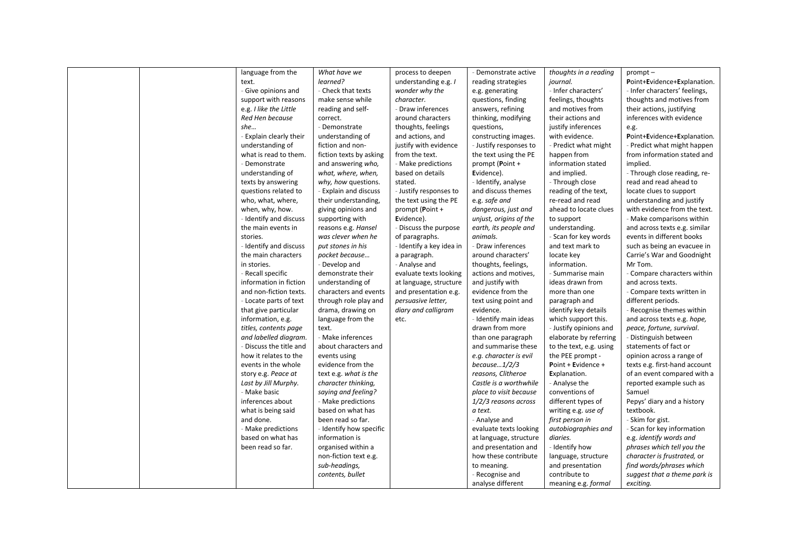|  | language from the            | What have we            | process to deepen        | - Demonstrate active   | thoughts in a reading   | $prompt -$                    |
|--|------------------------------|-------------------------|--------------------------|------------------------|-------------------------|-------------------------------|
|  | text.                        | learned?                | understanding e.g. /     | reading strategies     | journal.                | Point+Evidence+Explanation.   |
|  | - Give opinions and          | - Check that texts      | wonder why the           | e.g. generating        | - Infer characters'     | - Infer characters' feelings, |
|  | support with reasons         | make sense while        | character.               | questions, finding     | feelings, thoughts      | thoughts and motives from     |
|  | e.g. I like the Little       | reading and self-       | - Draw inferences        | answers, refining      | and motives from        | their actions, justifying     |
|  | Red Hen because              | correct.                | around characters        | thinking, modifying    | their actions and       | inferences with evidence      |
|  | she                          | - Demonstrate           | thoughts, feelings       | questions,             | justify inferences      | e.g.                          |
|  | <b>Explain clearly their</b> | understanding of        | and actions, and         | constructing images.   | with evidence.          | Point+Evidence+Explanation.   |
|  | understanding of             | fiction and non-        | justify with evidence    | - Justify responses to | - Predict what might    | - Predict what might happen   |
|  | what is read to them.        | fiction texts by asking | from the text.           | the text using the PE  | happen from             | from information stated and   |
|  | - Demonstrate                | and answering who,      | - Make predictions       | prompt (Point +        | information stated      | implied.                      |
|  | understanding of             | what, where, when,      | based on details         | Evidence).             | and implied.            | - Through close reading, re-  |
|  | texts by answering           | why, how questions.     | stated.                  | - Identify, analyse    | - Through close         | read and read ahead to        |
|  | questions related to         | - Explain and discuss   | - Justify responses to   | and discuss themes     | reading of the text,    | locate clues to support       |
|  | who, what, where,            | their understanding,    | the text using the PE    | e.g. safe and          | re-read and read        | understanding and justify     |
|  | when, why, how.              | giving opinions and     | prompt (Point +          | dangerous, just and    | ahead to locate clues   | with evidence from the text.  |
|  | - Identify and discuss       | supporting with         | Evidence).               | unjust, origins of the | to support              | - Make comparisons within     |
|  | the main events in           | reasons e.g. Hansel     | - Discuss the purpose    | earth, its people and  | understanding.          | and across texts e.g. similar |
|  | stories.                     | was clever when he      | of paragraphs.           | animals.               | - Scan for key words    | events in different books     |
|  | - Identify and discuss       | put stones in his       | - Identify a key idea in | - Draw inferences      | and text mark to        | such as being an evacuee in   |
|  | the main characters          | pocket because          | a paragraph.             | around characters'     | locate key              | Carrie's War and Goodnight    |
|  | in stories.                  | - Develop and           | - Analyse and            | thoughts, feelings,    | information.            | Mr Tom.                       |
|  | - Recall specific            | demonstrate their       | evaluate texts looking   | actions and motives,   | - Summarise main        | - Compare characters within   |
|  | information in fiction       | understanding of        | at language, structure   | and justify with       | ideas drawn from        | and across texts.             |
|  | and non-fiction texts.       | characters and events   | and presentation e.g.    | evidence from the      | more than one           | - Compare texts written in    |
|  | - Locate parts of text       | through role play and   | persuasive letter,       | text using point and   | paragraph and           | different periods.            |
|  | that give particular         | drama, drawing on       | diary and calligram      | evidence.              | identify key details    | - Recognise themes within     |
|  | information, e.g.            | language from the       | etc.                     | - Identify main ideas  | which support this.     | and across texts e.g. hope,   |
|  | titles, contents page        | text.                   |                          | drawn from more        | - Justify opinions and  | peace, fortune, survival.     |
|  | and labelled diagram.        | - Make inferences       |                          | than one paragraph     | elaborate by referring  | - Distinguish between         |
|  | - Discuss the title and      | about characters and    |                          | and summarise these    | to the text, e.g. using | statements of fact or         |
|  | how it relates to the        | events using            |                          | e.g. character is evil | the PEE prompt -        | opinion across a range of     |
|  | events in the whole          | evidence from the       |                          | because $1/2/3$        | Point + Evidence +      | texts e.g. first-hand account |
|  | story e.g. Peace at          | text e.g. what is the   |                          | reasons, Clitheroe     | Explanation.            | of an event compared with a   |
|  | Last by Jill Murphy.         | character thinking,     |                          | Castle is a worthwhile | - Analyse the           | reported example such as      |
|  | - Make basic                 | saying and feeling?     |                          | place to visit because | conventions of          | Samuel                        |
|  | inferences about             | - Make predictions      |                          | 1/2/3 reasons across   | different types of      | Pepys' diary and a history    |
|  | what is being said           | based on what has       |                          | a text.                | writing e.g. use of     | textbook.                     |
|  | and done.                    | been read so far.       |                          | - Analyse and          | first person in         | - Skim for gist.              |
|  | - Make predictions           | - Identify how specific |                          | evaluate texts looking | autobiographies and     | - Scan for key information    |
|  | based on what has            | information is          |                          | at language, structure | diaries.                | e.g. identify words and       |
|  | been read so far.            | organised within a      |                          | and presentation and   | - Identify how          | phrases which tell you the    |
|  |                              | non-fiction text e.g.   |                          | how these contribute   | language, structure     | character is frustrated, or   |
|  |                              | sub-headings,           |                          | to meaning.            | and presentation        | find words/phrases which      |
|  |                              | contents, bullet        |                          | - Recognise and        | contribute to           | suggest that a theme park is  |
|  |                              |                         |                          | analyse different      | meaning e.g. formal     | exciting.                     |
|  |                              |                         |                          |                        |                         |                               |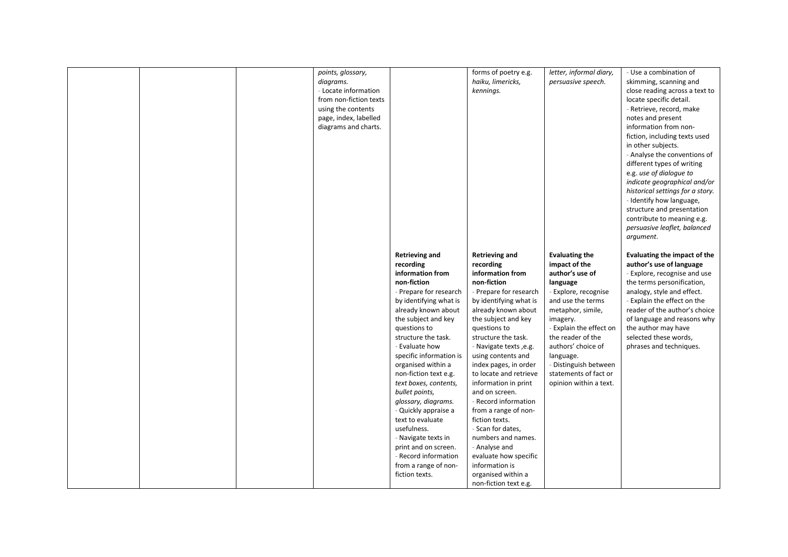|  | points, glossary,<br>diagrams.<br>- Locate information<br>from non-fiction texts<br>using the contents<br>page, index, labelled<br>diagrams and charts. | <b>Retrieving and</b>                                                                                                                                                                                                                                                             | forms of poetry e.g.<br>haiku, limericks,<br>kennings.<br><b>Retrieving and</b>                                                                                                                                                                                                           | letter, informal diary,<br>persuasive speech.<br><b>Evaluating the</b>                                                                                                                                                                                          | - Use a combination of<br>skimming, scanning and<br>close reading across a text to<br>locate specific detail.<br>- Retrieve, record, make<br>notes and present<br>information from non-<br>fiction, including texts used<br>in other subjects.<br>- Analyse the conventions of<br>different types of writing<br>e.g. use of dialogue to<br>indicate geographical and/or<br>historical settings for a story.<br>- Identify how language,<br>structure and presentation<br>contribute to meaning e.g.<br>persuasive leaflet, balanced<br>argument.<br>Evaluating the impact of the |
|--|---------------------------------------------------------------------------------------------------------------------------------------------------------|-----------------------------------------------------------------------------------------------------------------------------------------------------------------------------------------------------------------------------------------------------------------------------------|-------------------------------------------------------------------------------------------------------------------------------------------------------------------------------------------------------------------------------------------------------------------------------------------|-----------------------------------------------------------------------------------------------------------------------------------------------------------------------------------------------------------------------------------------------------------------|----------------------------------------------------------------------------------------------------------------------------------------------------------------------------------------------------------------------------------------------------------------------------------------------------------------------------------------------------------------------------------------------------------------------------------------------------------------------------------------------------------------------------------------------------------------------------------|
|  |                                                                                                                                                         | recording<br>information from<br>non-fiction<br>- Prepare for research<br>by identifying what is<br>already known about<br>the subject and key<br>questions to<br>structure the task.<br>- Evaluate how<br>specific information is<br>organised within a<br>non-fiction text e.g. | recording<br>information from<br>non-fiction<br>- Prepare for research<br>by identifying what is<br>already known about<br>the subject and key<br>questions to<br>structure the task.<br>- Navigate texts , e.g.<br>using contents and<br>index pages, in order<br>to locate and retrieve | impact of the<br>author's use of<br>language<br>- Explore, recognise<br>and use the terms<br>metaphor, simile,<br>imagery.<br>- Explain the effect on<br>the reader of the<br>authors' choice of<br>language.<br>- Distinguish between<br>statements of fact or | author's use of language<br>- Explore, recognise and use<br>the terms personification,<br>analogy, style and effect.<br>- Explain the effect on the<br>reader of the author's choice<br>of language and reasons why<br>the author may have<br>selected these words,<br>phrases and techniques.                                                                                                                                                                                                                                                                                   |
|  |                                                                                                                                                         | text boxes, contents,<br>bullet points,<br>glossary, diagrams.<br>- Quickly appraise a<br>text to evaluate<br>usefulness.<br>- Navigate texts in<br>print and on screen.<br>- Record information<br>from a range of non-<br>fiction texts.                                        | information in print<br>and on screen.<br>- Record information<br>from a range of non-<br>fiction texts.<br>- Scan for dates,<br>numbers and names.<br>- Analyse and<br>evaluate how specific<br>information is<br>organised within a<br>non-fiction text e.g.                            | opinion within a text.                                                                                                                                                                                                                                          |                                                                                                                                                                                                                                                                                                                                                                                                                                                                                                                                                                                  |